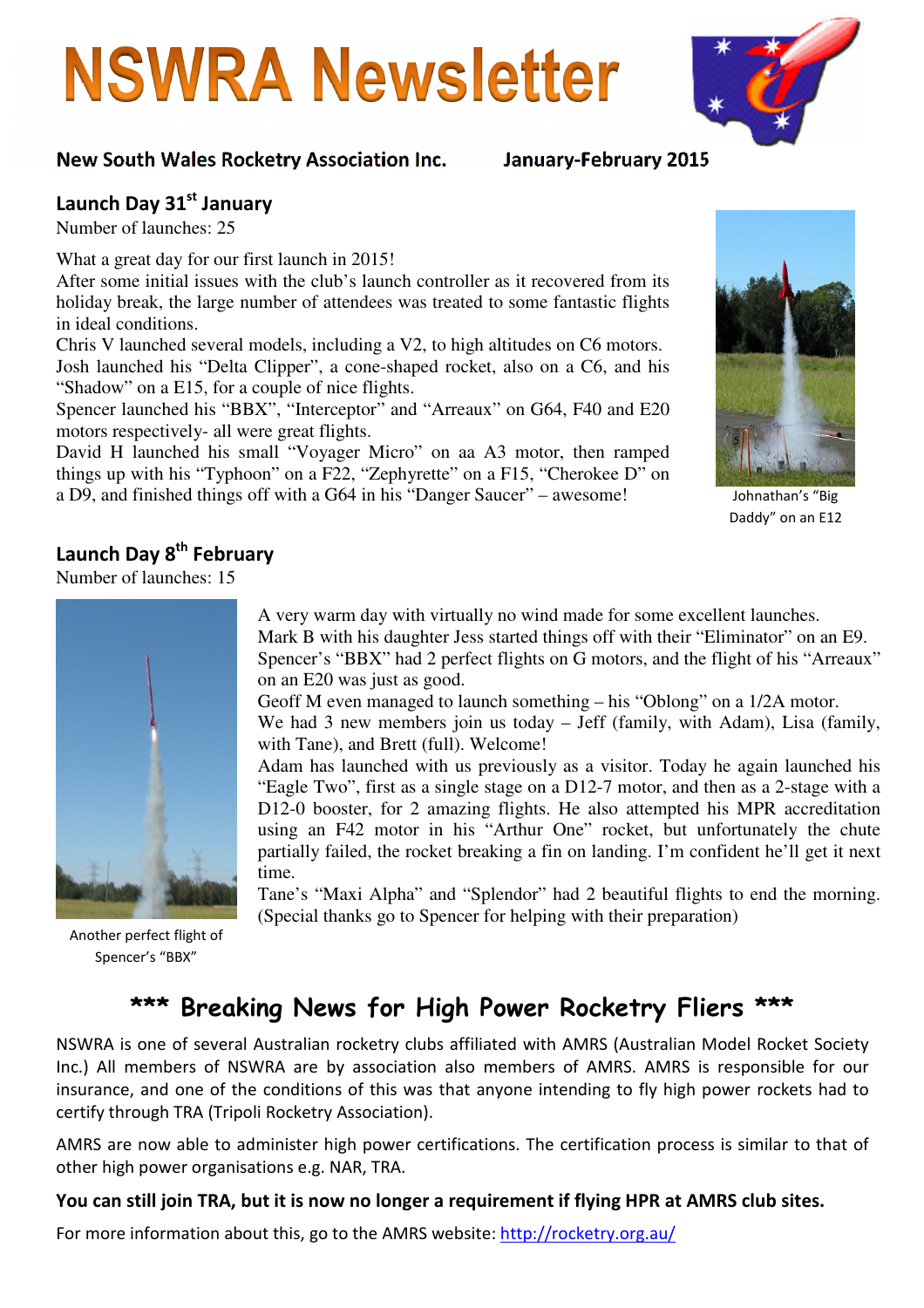# **NSWRA Newsletter**

### New South Wales Rocketry Association Inc. January-February 2015

## Launch Day 31st January

Number of launches: 25

What a great day for our first launch in 2015!

After some initial issues with the club's launch controller as it recovered from its holiday break, the large number of attendees was treated to some fantastic flights in ideal conditions.

Chris V launched several models, including a V2, to high altitudes on C6 motors. Josh launched his "Delta Clipper", a cone-shaped rocket, also on a C6, and his "Shadow" on a E15, for a couple of nice flights.

Spencer launched his "BBX", "Interceptor" and "Arreaux" on G64, F40 and E20 motors respectively- all were great flights.

David H launched his small "Voyager Micro" on aa A3 motor, then ramped things up with his "Typhoon" on a F22, "Zephyrette" on a F15, "Cherokee D" on a D9, and finished things off with a G64 in his "Danger Saucer" – awesome!



## Launch Day 8<sup>th</sup> February

Number of launches: 15



Another perfect flight of Spencer's "BBX"

A very warm day with virtually no wind made for some excellent launches. Mark B with his daughter Jess started things off with their "Eliminator" on an E9. Spencer's "BBX" had 2 perfect flights on G motors, and the flight of his "Arreaux" on an E20 was just as good.

Geoff M even managed to launch something – his "Oblong" on a 1/2A motor. We had 3 new members join us today – Jeff (family, with Adam), Lisa (family, with Tane), and Brett (full). Welcome!

Adam has launched with us previously as a visitor. Today he again launched his "Eagle Two", first as a single stage on a D12-7 motor, and then as a 2-stage with a D12-0 booster, for 2 amazing flights. He also attempted his MPR accreditation using an F42 motor in his "Arthur One" rocket, but unfortunately the chute partially failed, the rocket breaking a fin on landing. I'm confident he'll get it next time.

Tane's "Maxi Alpha" and "Splendor" had 2 beautiful flights to end the morning. (Special thanks go to Spencer for helping with their preparation)

## \*\*\* Breaking News for High Power Rocketry Fliers \*\*\*

NSWRA is one of several Australian rocketry clubs affiliated with AMRS (Australian Model Rocket Society Inc.) All members of NSWRA are by association also members of AMRS. AMRS is responsible for our insurance, and one of the conditions of this was that anyone intending to fly high power rockets had to certify through TRA (Tripoli Rocketry Association).

AMRS are now able to administer high power certifications. The certification process is similar to that of other high power organisations e.g. NAR, TRA.

#### You can still join TRA, but it is now no longer a requirement if flying HPR at AMRS club sites.

For more information about this, go to the AMRS website: http://rocketry.org.au/